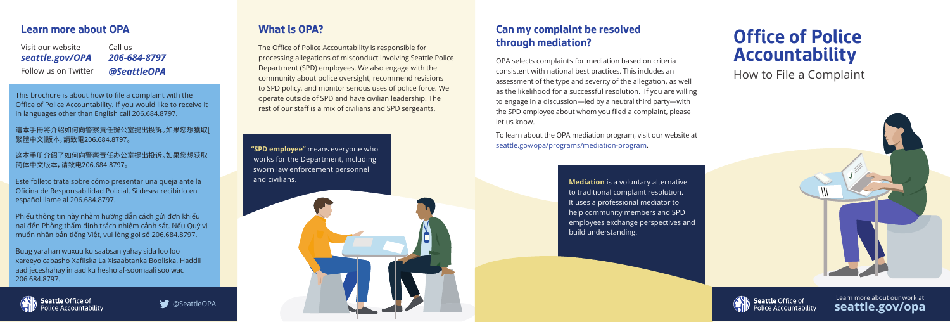**"SPD employee"** means everyone who works for the Department, including sworn law enforcement personnel and civilians.

## **What is OPA?**

The Office of Police Accountability is responsible for processing allegations of misconduct involving Seattle Police Department (SPD) employees. We also engage with the community about police oversight, recommend revisions to SPD policy, and monitor serious uses of police force. We operate outside of SPD and have civilian leadership. The rest of our staff is a mix of civilians and SPD sergeants.

#### **Learn more about OPA**

This brochure is about how to file a complaint with the Office of Police Accountability. If you would like to receive it in languages other than English call 206.684.8797.

這本手冊將介紹如何向警察責任辦公室提出投訴。如果您想獲取[ 繁體中文]版本,請致電206.684.8797。

这本手册介绍了如何向警察责任办公室提出投诉。如果您想获取 简体中文版本,请致电206.684.8797。

Este folleto trata sobre cómo presentar una queja ante la Oficina de Responsabilidad Policial. Si desea recibirlo en español llame al 206.684.8797.

Visit our website *seattle.gov/OPA* Call us *206-684-8797* Follow us on Twitter *@SeattleOPA*

Phiếu thông tin này nhằm hướng dẫn cách gửi đơn khiếu nại đến Phòng thẩm định trách nhiệm cảnh sát. Nếu Quý vị muốn nhận bản tiếng Việt, vui lòng gọi số 206.684.8797.

Buug yarahan wuxuu ku saabsan yahay sida loo loo xareeyo cabasho Xafiiska La Xisaabtanka Booliska. Haddii aad jeceshahay in aad ku hesho af-soomaali soo wac 206.684.8797.





## **Can my complaint be resolved through mediation?**

OPA selects complaints for mediation based on criteria consistent with national best practices. This includes an assessment of the type and severity of the allegation, as well as the likelihood for a successful resolution. If you are willing to engage in a discussion—led by a neutral third party—with the SPD employee about whom you filed a complaint, please let us know.

To learn about the OPA mediation program, visit our website at seattle.gov/opa/programs/mediation-program.

> **Mediation** is a voluntary alternative to traditional complaint resolution. It uses a professional mediator to help community members and SPD employees exchange perspectives and build understanding.

# **Office of Police Accountability** How to File a Complaint





Learn more about our work at **seattle.gov/opa**